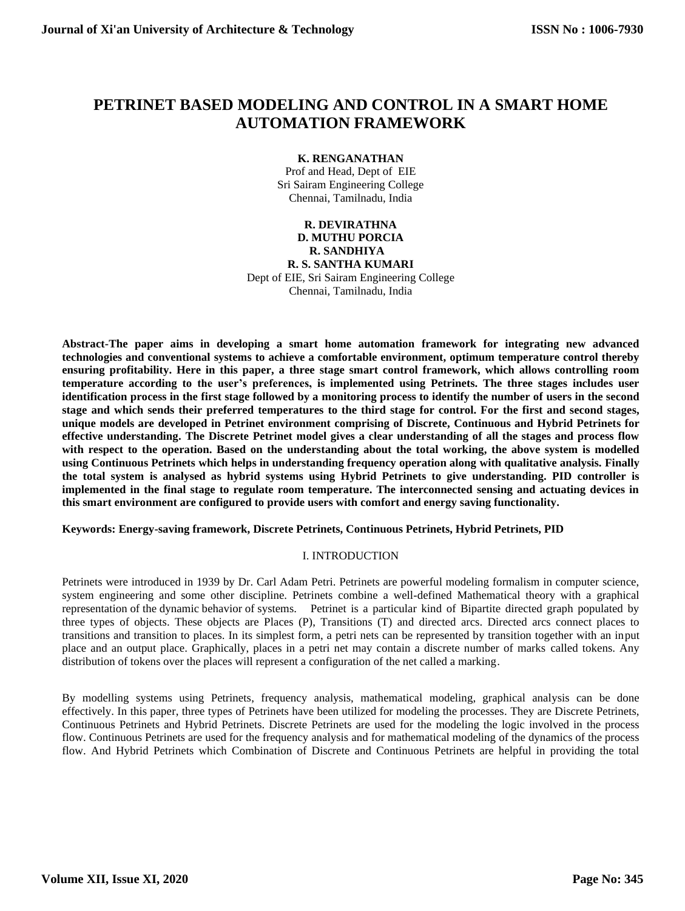# **PETRINET BASED MODELING AND CONTROL IN A SMART HOME AUTOMATION FRAMEWORK**

## **K. RENGANATHAN**

Prof and Head, Dept of EIE Sri Sairam Engineering College Chennai, Tamilnadu, India

#### **R. DEVIRATHNA D. MUTHU PORCIA R. SANDHIYA R. S. SANTHA KUMARI**

Dept of EIE, Sri Sairam Engineering College Chennai, Tamilnadu, India

**Abstract-The paper aims in developing a smart home automation framework for integrating new advanced technologies and conventional systems to achieve a comfortable environment, optimum temperature control thereby ensuring profitability. Here in this paper, a three stage smart control framework, which allows controlling room temperature according to the user's preferences, is implemented using Petrinets. The three stages includes user identification process in the first stage followed by a monitoring process to identify the number of users in the second stage and which sends their preferred temperatures to the third stage for control. For the first and second stages, unique models are developed in Petrinet environment comprising of Discrete, Continuous and Hybrid Petrinets for effective understanding. The Discrete Petrinet model gives a clear understanding of all the stages and process flow with respect to the operation. Based on the understanding about the total working, the above system is modelled using Continuous Petrinets which helps in understanding frequency operation along with qualitative analysis. Finally the total system is analysed as hybrid systems using Hybrid Petrinets to give understanding. PID controller is implemented in the final stage to regulate room temperature. The interconnected sensing and actuating devices in this smart environment are configured to provide users with comfort and energy saving functionality.**

**Keywords: Energy-saving framework, Discrete Petrinets, Continuous Petrinets, Hybrid Petrinets, PID**

## I. INTRODUCTION

Petrinets were introduced in 1939 by Dr. Carl Adam Petri. Petrinets are powerful modeling formalism in computer science, system engineering and some other discipline. Petrinets combine a well-defined Mathematical theory with a graphical representation of the dynamic behavior of systems. Petrinet is a particular kind of Bipartite directed graph populated by three types of objects. These objects are Places (P), Transitions (T) and directed arcs. Directed arcs connect places to transitions and transition to places. In its simplest form, a petri nets can be represented by transition together with an input place and an output place. Graphically, places in a petri net may contain a discrete number of marks called tokens. Any distribution of tokens over the places will represent a configuration of the net called a marking.

By modelling systems using Petrinets, frequency analysis, mathematical modeling, graphical analysis can be done effectively. In this paper, three types of Petrinets have been utilized for modeling the processes. They are Discrete Petrinets, Continuous Petrinets and Hybrid Petrinets. Discrete Petrinets are used for the modeling the logic involved in the process flow. Continuous Petrinets are used for the frequency analysis and for mathematical modeling of the dynamics of the process flow. And Hybrid Petrinets which Combination of Discrete and Continuous Petrinets are helpful in providing the total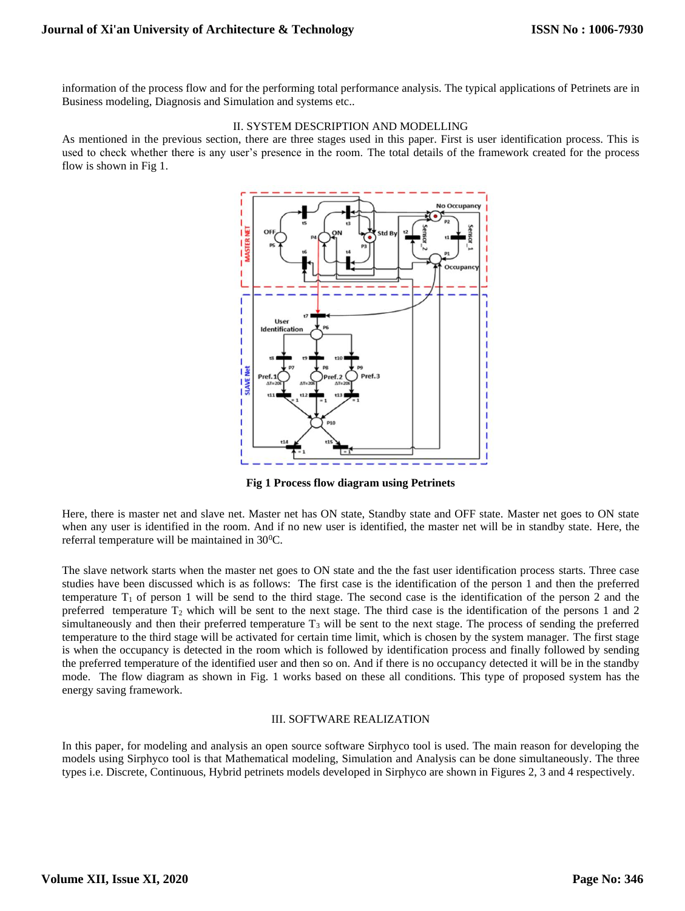information of the process flow and for the performing total performance analysis. The typical applications of Petrinets are in Business modeling, Diagnosis and Simulation and systems etc..

## II. SYSTEM DESCRIPTION AND MODELLING

As mentioned in the previous section, there are three stages used in this paper. First is user identification process. This is used to check whether there is any user's presence in the room. The total details of the framework created for the process flow is shown in Fig 1.



**Fig 1 Process flow diagram using Petrinets**

Here, there is master net and slave net. Master net has ON state, Standby state and OFF state. Master net goes to ON state when any user is identified in the room. And if no new user is identified, the master net will be in standby state. Here, the referral temperature will be maintained in  $30^{\circ}$ C.

The slave network starts when the master net goes to ON state and the the fast user identification process starts. Three case studies have been discussed which is as follows: The first case is the identification of the person 1 and then the preferred temperature  $T_1$  of person 1 will be send to the third stage. The second case is the identification of the person 2 and the preferred temperature  $T_2$  which will be sent to the next stage. The third case is the identification of the persons 1 and 2 simultaneously and then their preferred temperature  $T_3$  will be sent to the next stage. The process of sending the preferred temperature to the third stage will be activated for certain time limit, which is chosen by the system manager. The first stage is when the occupancy is detected in the room which is followed by identification process and finally followed by sending the preferred temperature of the identified user and then so on. And if there is no occupancy detected it will be in the standby mode. The flow diagram as shown in Fig. 1 works based on these all conditions. This type of proposed system has the energy saving framework.

#### III. SOFTWARE REALIZATION

In this paper, for modeling and analysis an open source software Sirphyco tool is used. The main reason for developing the models using Sirphyco tool is that Mathematical modeling, Simulation and Analysis can be done simultaneously. The three types i.e. Discrete, Continuous, Hybrid petrinets models developed in Sirphyco are shown in Figures 2, 3 and 4 respectively.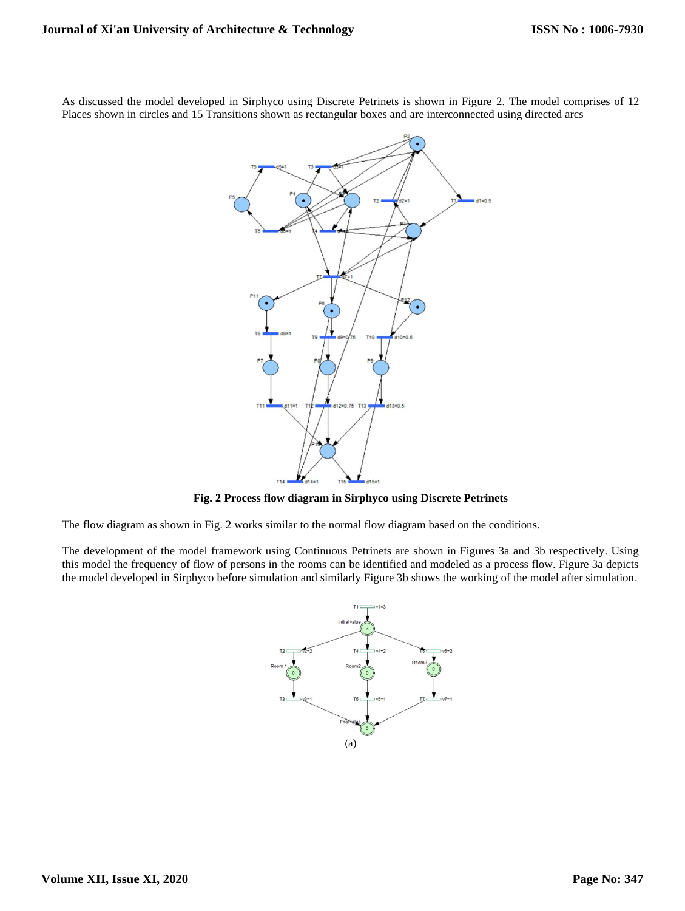As discussed the model developed in Sirphyco using Discrete Petrinets is shown in Figure 2. The model comprises of 12 Places shown in circles and 15 Transitions shown as rectangular boxes and are interconnected using directed arcs



**Fig. 2 Process flow diagram in Sirphyco using Discrete Petrinets**

The flow diagram as shown in Fig. 2 works similar to the normal flow diagram based on the conditions.

The development of the model framework using Continuous Petrinets are shown in Figures 3a and 3b respectively. Using this model the frequency of flow of persons in the rooms can be identified and modeled as a process flow. Figure 3a depicts the model developed in Sirphyco before simulation and similarly Figure 3b shows the working of the model after simulation.

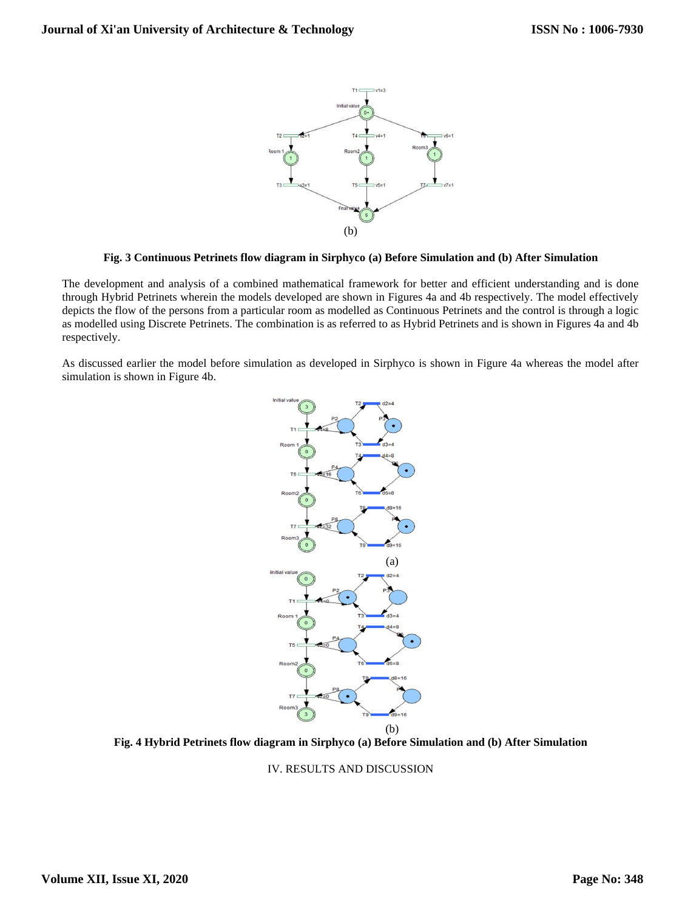

#### **Fig. 3 Continuous Petrinets flow diagram in Sirphyco (a) Before Simulation and (b) After Simulation**

The development and analysis of a combined mathematical framework for better and efficient understanding and is done through Hybrid Petrinets wherein the models developed are shown in Figures 4a and 4b respectively. The model effectively depicts the flow of the persons from a particular room as modelled as Continuous Petrinets and the control is through a logic as modelled using Discrete Petrinets. The combination is as referred to as Hybrid Petrinets and is shown in Figures 4a and 4b respectively.

As discussed earlier the model before simulation as developed in Sirphyco is shown in Figure 4a whereas the model after simulation is shown in Figure 4b.



**Fig. 4 Hybrid Petrinets flow diagram in Sirphyco (a) Before Simulation and (b) After Simulation**

IV. RESULTS AND DISCUSSION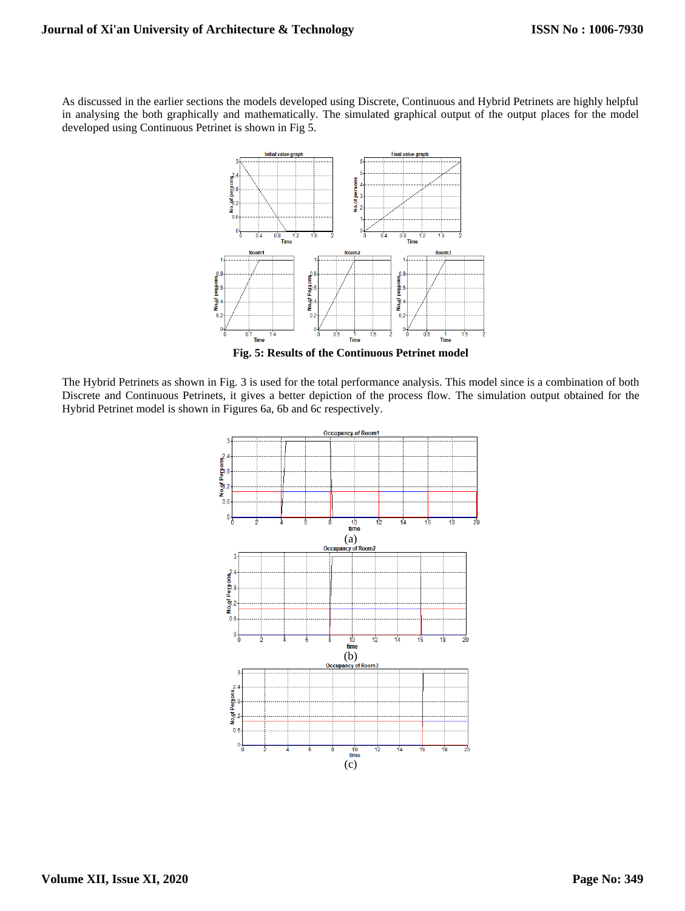As discussed in the earlier sections the models developed using Discrete, Continuous and Hybrid Petrinets are highly helpful in analysing the both graphically and mathematically. The simulated graphical output of the output places for the model developed using Continuous Petrinet is shown in Fig 5.



**Fig. 5: Results of the Continuous Petrinet model**

The Hybrid Petrinets as shown in Fig. 3 is used for the total performance analysis. This model since is a combination of both Discrete and Continuous Petrinets, it gives a better depiction of the process flow. The simulation output obtained for the Hybrid Petrinet model is shown in Figures 6a, 6b and 6c respectively.

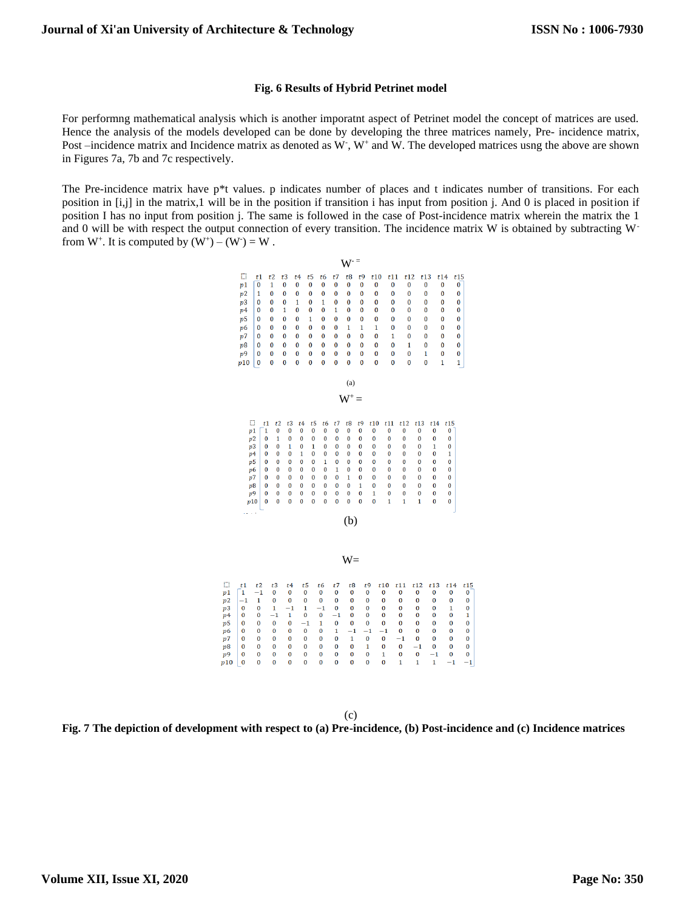#### **Fig. 6 Results of Hybrid Petrinet model**

For performng mathematical analysis which is another imporatnt aspect of Petrinet model the concept of matrices are used. Hence the analysis of the models developed can be done by developing the three matrices namely, Pre- incidence matrix, Post –incidence matrix and Incidence matrix as denoted as W, W<sup>+</sup> and W. The developed matrices usng the above are shown in Figures 7a, 7b and 7c respectively.

The Pre-incidence matrix have p\*t values. p indicates number of places and t indicates number of transitions. For each position in [i,j] in the matrix,1 will be in the position if transition i has input from position j. And 0 is placed in position if position I has no input from position j. The same is followed in the case of Post-incidence matrix wherein the matrix the 1 and 0 will be with respect the output connection of every transition. The incidence matrix W is obtained by subtracting  $W$ from  $W^+$ . It is computed by  $(W^+) - (W^-) = W$ .

 $\cdots$  =

|                                                                                                |                                                                                                      |                                                                                                       |                                                                                                                                              |                                                                                                |                                                                                                                                                                                                        |                                                                                                                                               |                                                                                  | W                                                                                                            |                                                                                                                                  |                                                                                                            |                                                                                         |                                                                                                       |                                                                                                           |                                                                            |                                                                                  |                                                                         |
|------------------------------------------------------------------------------------------------|------------------------------------------------------------------------------------------------------|-------------------------------------------------------------------------------------------------------|----------------------------------------------------------------------------------------------------------------------------------------------|------------------------------------------------------------------------------------------------|--------------------------------------------------------------------------------------------------------------------------------------------------------------------------------------------------------|-----------------------------------------------------------------------------------------------------------------------------------------------|----------------------------------------------------------------------------------|--------------------------------------------------------------------------------------------------------------|----------------------------------------------------------------------------------------------------------------------------------|------------------------------------------------------------------------------------------------------------|-----------------------------------------------------------------------------------------|-------------------------------------------------------------------------------------------------------|-----------------------------------------------------------------------------------------------------------|----------------------------------------------------------------------------|----------------------------------------------------------------------------------|-------------------------------------------------------------------------|
|                                                                                                | o<br>p1<br>p2<br>p <sub>3</sub><br>p <sub>4</sub><br>p5<br>p6<br>p7<br>p8<br>p9<br>p10               | t1<br>$\overline{0}$<br>1<br>0<br>0<br>0<br>0<br>0<br>0<br>0<br>0                                     | t2<br>1<br>$\bf{0}$<br>0<br>0<br>0<br>0<br>0<br>0<br>$\bf{0}$<br>Ō                                                                           | t3<br>$\bf{0}$<br>$\bf{0}$<br>0<br>1<br>0<br>$\bf{0}$<br>$\bf{0}$<br>0<br>$\bf{0}$<br>$\bf{0}$ | t5<br>t4<br>$\bf{0}$<br>$\bf{0}$<br>$\bf{0}$<br>0<br>1<br>0<br>$\bf{0}$<br>$\bf{0}$<br>0<br>1<br>$\bf{0}$<br>$\bf{0}$<br>$\bf{0}$<br>0<br>0<br>0<br>$\bf{0}$<br>$\bf{0}$<br>$\bf{0}$<br>$\overline{0}$ | t6<br>$\bf{0}$<br>$\bf{0}$<br>1<br>0<br>0<br>$\bf{0}$<br>0<br>0<br>$\bf{0}$<br>Ō                                                              | t7<br>$\bf{0}$<br>0<br>0<br>1<br>0<br>0<br>$\bf{0}$<br>0<br>0<br>$\overline{0}$  | t8<br>$\bf{0}$<br>$\bf{0}$<br>$\bf{0}$<br>$\bf{0}$<br>$\bf{0}$<br>1<br>$\bf{0}$<br>0<br>$\bf{0}$<br>$\bf{0}$ | t9<br>$\bf{0}$<br>0<br>0<br>0<br>0<br>1<br>$\bf{0}$<br>0<br>0<br>$\overline{0}$                                                  | t10<br>0<br>$\bf{0}$<br>$\bf{0}$<br>0<br>$\bf{0}$<br>$\mathbf{1}$<br>$\bf{0}$<br>0<br>$\bf{0}$<br>$\bf{0}$ | t11<br>$\bf{0}$<br>0<br>0<br>0<br>0<br>0<br>1<br>0<br>0<br>$\bf{0}$                     | t12<br>0<br>0<br>0<br>0<br>0<br>$\overline{0}$<br>$\bf{0}$<br>1<br>0<br>$\overline{0}$                | t13<br>$\bf{0}$<br>$\bf{0}$<br>0<br>$\bf{0}$<br>$\bf{0}$<br>$\bf{0}$<br>$\bf{0}$<br>0<br>1<br>$\bf{0}$    | 0<br>$\bf{0}$<br>0<br>$\bf{0}$<br>$\bf{0}$<br>0<br>0<br>$\mathbf{1}$       | t14<br>0<br>0                                                                    | t15<br>0<br>0<br>0<br>0<br>0<br>0<br>$\bf{0}$<br>0<br>0<br>$\mathbf{1}$ |
|                                                                                                |                                                                                                      |                                                                                                       |                                                                                                                                              |                                                                                                |                                                                                                                                                                                                        |                                                                                                                                               |                                                                                  | (a)                                                                                                          |                                                                                                                                  |                                                                                                            |                                                                                         |                                                                                                       |                                                                                                           |                                                                            |                                                                                  |                                                                         |
|                                                                                                |                                                                                                      |                                                                                                       |                                                                                                                                              |                                                                                                |                                                                                                                                                                                                        |                                                                                                                                               |                                                                                  | $W^+$ =                                                                                                      |                                                                                                                                  |                                                                                                            |                                                                                         |                                                                                                       |                                                                                                           |                                                                            |                                                                                  |                                                                         |
|                                                                                                |                                                                                                      | O<br>p1<br>p2<br>p3<br>p <sub>4</sub><br>p5<br>p6<br>p7<br>p8<br>p9<br>p10<br>$\lambda \rightarrow 0$ | t1<br>t2<br>$\mathbf{1}$<br>0<br>0<br>1<br>0<br>0<br>0<br>0<br>0<br>0<br>0<br>$\bf{0}$<br>0<br>0<br>$\bf{0}$<br>0<br>0<br>$\bf{0}$<br>0<br>0 | t3<br>0<br>0<br>1<br>0<br>0<br>0<br>0<br>$\bf{0}$<br>Ó<br>Ō                                    | t4<br>0<br>0<br>0<br>1<br>0<br>0<br>0<br>0<br>$\bf{0}$<br>Ō                                                                                                                                            | t5<br>t <sub>6</sub><br>0<br>0<br>0<br>0<br>0<br>1<br>$\bf{0}$<br>0<br>0<br>1<br>$\bf{0}$<br>0<br>0<br>0<br>0<br>0<br>$\bf{0}$<br>Ô<br>Ō<br>Ō | t7<br>0<br>0<br>$\bf{0}$<br>$\bf{0}$<br>0<br>1<br>0<br>$\bf{0}$<br>$\bf{0}$<br>Ō | t8<br>0<br>0<br>$\bf{0}$<br>0<br>0<br>0<br>$\mathbf{1}$<br>$\bf{0}$<br>$\bf{0}$<br>$\bf{0}$<br>(b)           | t <sub>9</sub><br>0<br>0<br>$\bf{0}$<br>$\bf{0}$<br>$\bf{0}$<br>$\bf{0}$<br>$\bf{0}$<br>$\mathbf{1}$<br>$\bf{0}$<br>$\mathbf{0}$ | t10<br>0<br>0<br>$\bf{0}$<br>$\bf{0}$<br>0<br>$\bf{0}$<br>0<br>0<br>1<br>$\bf{0}$                          | t11<br>0<br>0<br>0<br>$\bf{0}$<br>0<br>0<br>0<br>0<br>0<br>$\mathbf{1}$                 | t12<br>0<br>$\bf{0}$<br>$\bf{0}$<br>$\bf{0}$<br>0<br>0<br>$\bf{0}$<br>$\bf{0}$<br>$\bf{0}$<br>1       | t13<br>0<br>0<br>0<br>0<br>0<br>0<br>$\bf{0}$<br>$\bf{0}$<br>$\bf{0}$<br>1                                | t14<br>0<br>0<br>1<br>0<br>0<br>0<br>$\bf{0}$<br>0<br>$\bf{0}$<br>$\bf{0}$ | t15<br>0<br>0<br>0<br>1<br>0<br>0<br>0<br>0<br>0<br>$\mathbf 0$                  |                                                                         |
|                                                                                                |                                                                                                      |                                                                                                       |                                                                                                                                              |                                                                                                |                                                                                                                                                                                                        |                                                                                                                                               |                                                                                  | $W =$                                                                                                        |                                                                                                                                  |                                                                                                            |                                                                                         |                                                                                                       |                                                                                                           |                                                                            |                                                                                  |                                                                         |
| $\square$<br>р1<br>p2<br>p3<br>p4<br>p5<br>p6<br>p <sub>7</sub><br>p8<br>p <sub>9</sub><br>p10 | t1<br>$\mathbf{1}$<br>$^{-1}$<br>$\bf{0}$<br>0<br>$\bf{0}$<br>0<br>0<br>0<br>$\mathbf 0$<br>$\bf{0}$ | t2<br>$^{-1}$<br>1<br>$\bf{0}$<br>0<br>0<br>0<br>0<br>0<br>0<br>0                                     | t3<br>0<br>$\bf{0}$<br>1<br>$^{-1}$<br>0<br>0<br>0<br>0<br>0<br>0                                                                            | t4<br>0<br>$\bf{0}$<br>$^{-1}$<br>1<br>0<br>0<br>0<br>0<br>$\bf{0}$<br>0                       | t5<br>0<br>0<br>1<br>0<br>$^{-1}$<br>0<br>0<br>0<br>$\bf{0}$<br>0                                                                                                                                      | t6<br>0<br>0<br>$^{-1}$<br>0<br>1<br>0<br>0<br>0<br>$\bf{0}$<br>0                                                                             | t7<br>0<br>0<br>$\bf{0}$<br>$^{-1}$<br>0<br>1<br>0<br>0<br>0<br>$\bf{0}$         | t8<br>0<br>$\bf{0}$<br>$\bf{0}$<br>0<br>$\bf{0}$<br>$^{-1}$<br>$\mathbf{1}$<br>0<br>$\bf{0}$<br>$\bf{0}$     | $^{-1}$                                                                                                                          | t9<br>0<br>$\bf{0}$<br>$\bf{0}$<br>0<br>0<br>$\bf{0}$<br>1<br>$\bf{0}$<br>$\bf{0}$                         | t10<br>0<br>$\bf{0}$<br>$\bf{0}$<br>0<br>0<br>$^{-1}$<br>0<br>$\bf{0}$<br>1<br>$\bf{0}$ | t11<br>0<br>$\bf{0}$<br>$\bf{0}$<br>0<br>$\bf{0}$<br>$\bf{0}$<br>$^{-1}$<br>$\bf{0}$<br>$\bf{0}$<br>1 | t12<br>0<br>$\bf{0}$<br>$\bf{0}$<br>0<br>$\bf{0}$<br>0<br>$\bf{0}$<br>$^{-1}$<br>$\bf{0}$<br>$\mathbf{1}$ | t13<br>0<br>0<br>0<br>0<br>0<br>0<br>0<br>0<br>$^{-1}$<br>$\mathbf{1}$     | t14<br>$\bf{0}$<br>0<br>1<br>0<br>0<br>0<br>$\bf{0}$<br>0<br>$\bf{0}$<br>$^{-1}$ | t1!<br>0<br>0<br>0<br>1<br>0<br>0<br>0<br>0<br>0<br>$^{-1}$             |

(c) **Fig. 7 The depiction of development with respect to (a) Pre-incidence, (b) Post-incidence and (c) Incidence matrices**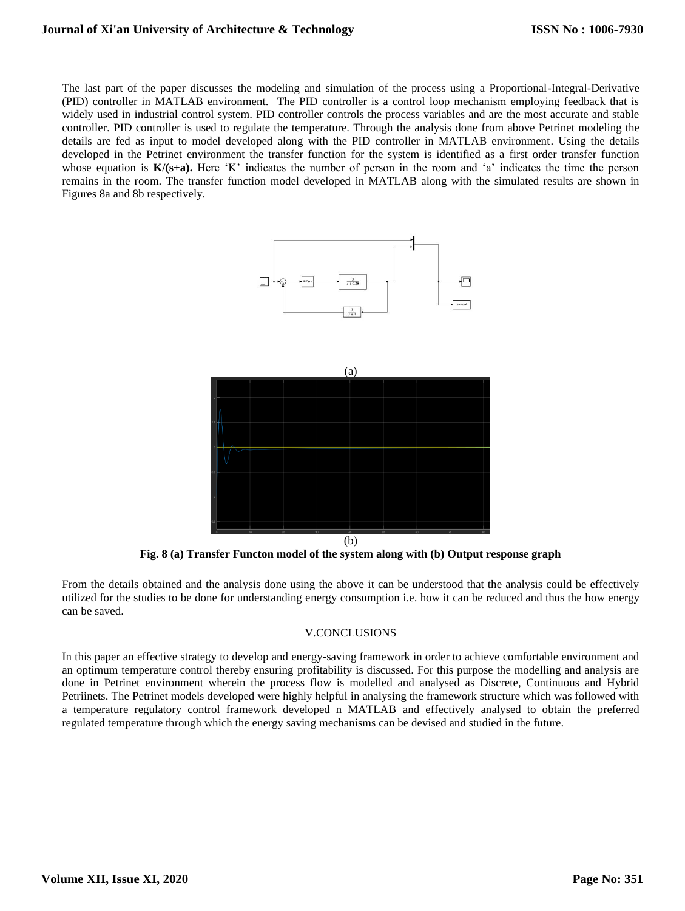## **Journal of Xi'an University of Architecture & Technology**

The last part of the paper discusses the modeling and simulation of the process using a Proportional-Integral-Derivative (PID) controller in MATLAB environment. The PID controller is a control loop mechanism employing feedback that is widely used in industrial control system. PID controller controls the process variables and are the most accurate and stable controller. PID controller is used to regulate the temperature. Through the analysis done from above Petrinet modeling the details are fed as input to model developed along with the PID controller in MATLAB environment. Using the details developed in the Petrinet environment the transfer function for the system is identified as a first order transfer function whose equation is  $K/(s+a)$ . Here 'K' indicates the number of person in the room and 'a' indicates the time the person remains in the room. The transfer function model developed in MATLAB along with the simulated results are shown in Figures 8a and 8b respectively.





**Fig. 8 (a) Transfer Functon model of the system along with (b) Output response graph**

From the details obtained and the analysis done using the above it can be understood that the analysis could be effectively utilized for the studies to be done for understanding energy consumption i.e. how it can be reduced and thus the how energy can be saved.

## V.CONCLUSIONS

In this paper an effective strategy to develop and energy-saving framework in order to achieve comfortable environment and an optimum temperature control thereby ensuring profitability is discussed. For this purpose the modelling and analysis are done in Petrinet environment wherein the process flow is modelled and analysed as Discrete, Continuous and Hybrid Petriinets. The Petrinet models developed were highly helpful in analysing the framework structure which was followed with a temperature regulatory control framework developed n MATLAB and effectively analysed to obtain the preferred regulated temperature through which the energy saving mechanisms can be devised and studied in the future.